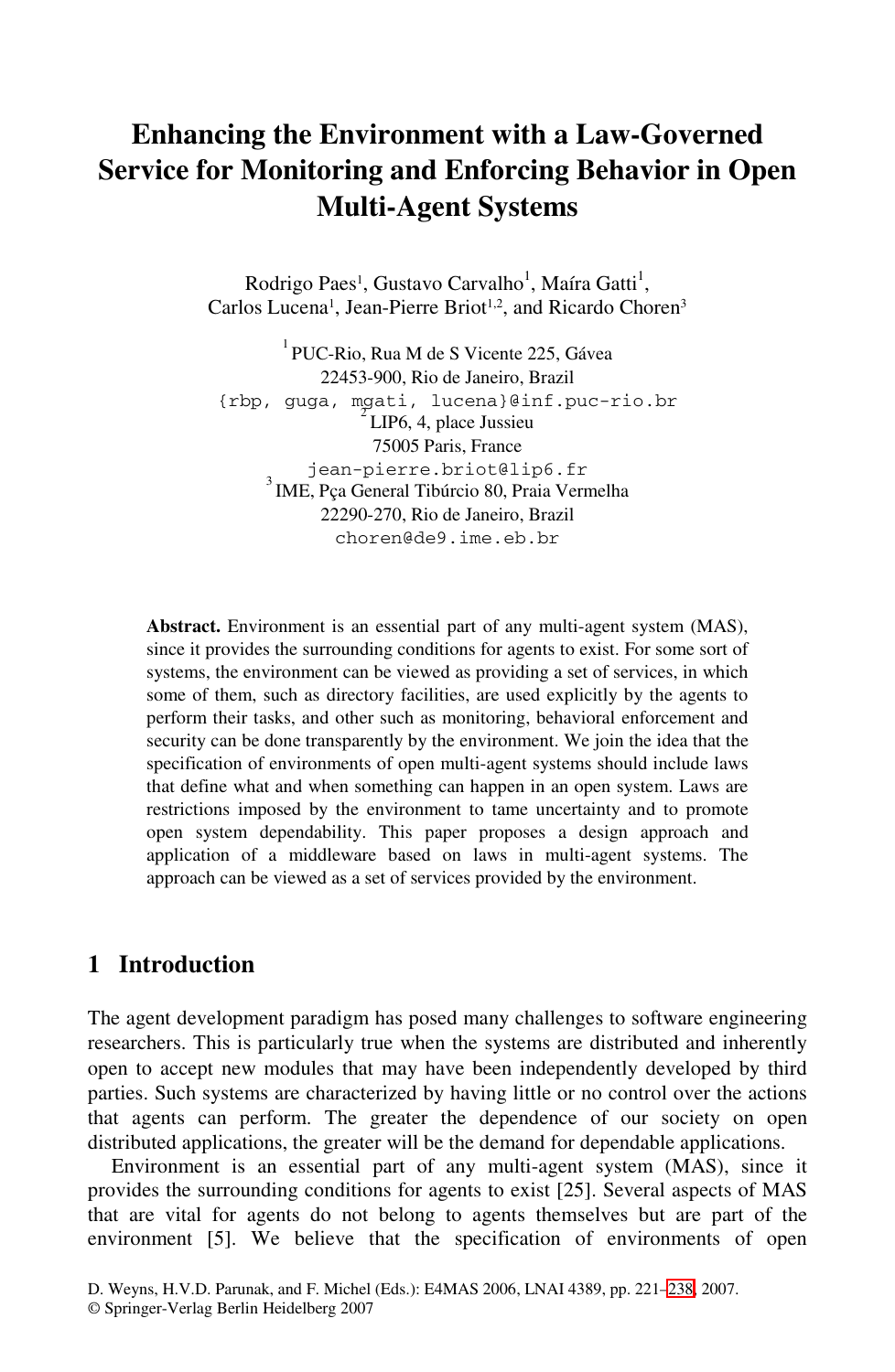# **Enhancing the Environment with a Law-Governed Service for Monitoring and Enforcing Behavior in Open Multi-Agent Systems**

Rodrigo Paes<sup>1</sup>, Gustavo Carvalho<sup>1</sup>, Maíra Gatti<sup>1</sup>, Carlos Lucena<sup>1</sup>, Jean-Pierre Briot<sup>1,2</sup>, and Ricardo Choren<sup>3</sup>

<sup>1</sup> PUC-Rio, Rua M de S Vicente 225, Gávea 22453-900, Rio de Janeiro, Brazil { $rbp$ , guga, mgati, lucena}@inf.puc-rio.br<br>
<sup>2</sup> LIP6, 4, place Jussieu 75005 Paris, France jean-pierre.briot@lip6.fr<br> 3 IME, Pça General Tibúrcio 80, Praia Vermelha 22290-270, Rio de Janeiro, Brazil choren@de9.ime.eb.br

**Abstract.** Environment is an essential part of any multi-agent system (MAS), since it provides the surrounding conditions for agents to exist. For some sort of systems, the environment can be viewed as providing a set of services, in which some of them, such as directory facilities, are used explicitly by the agents to perform their tasks, and other such as monitoring, behavioral enforcement and security can be done transparently by the environment. We join the idea that the specification of environments of open multi-agent systems should include laws that define what and when something can happen in an open system. Laws are restrictions imposed by the environment to tame uncertainty and to promote open system dependability. This paper proposes a design approach and application of a middleware based on laws in multi-agent systems. The approach can be viewed as a set of services provided by the environment.

## **1 Introduction**

The agent development paradigm has posed many challenges to software engineering researchers. This is particularly true when the systems are distributed and inherently open to accept new modules that may have been independently developed by third parties. Such systems are characterized by havi[ng li](#page-17-0)ttle or no control over the actions that agents can perform. The greater the dependence of our society on open distributed applications, the greater will be the demand for dependable applications.

Environment is an essential part of any multi-agent system (MAS), since it provides the surrounding conditions for agents to exist [25]. Several aspects of MAS that are vital for agents do not belong to agents themselves but are part of the environment [5]. We believe that the specification of environments of open

D. Weyns, H.V.D. Parunak, and F. Michel (Eds.): E4MAS 2006, LNAI 4389, pp. 221–238, 2007. © Springer-Verlag Berlin Heidelberg 2007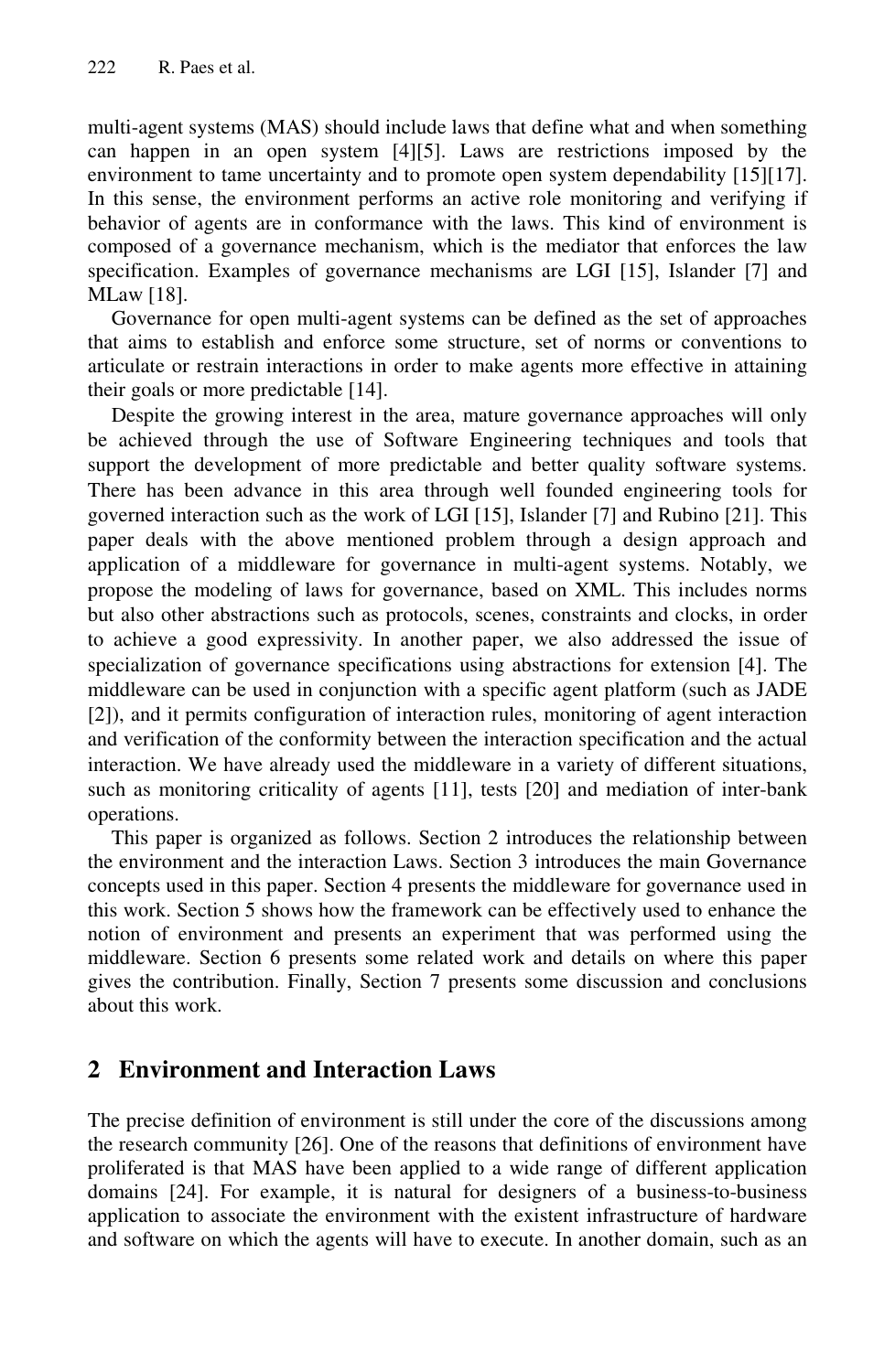multi-agent systems (MAS) should include laws that define what and when something can happen in an open system [4][5]. Laws are restrictions imposed by the environment to tame uncertainty and to promote open system dependability [15][17]. In this sense, the environment performs an active role monitoring and verifying if behavior of agents are in conformance with the laws. This kind of environment is composed of a governance mechanism, which is the mediator that enforces the law specification. Examples of governance mechanisms are LGI [15], Islander [7] and MLaw [18].

Governance for open multi-agent systems can be defined as the set of approaches that aims to establish and enforce some structure, set of norms or conventions to articulate or restrain interactions in order to make agents more effective in attaining their goals or more predictable [14].

Despite the growing interest in the area, mature governance approaches will only be achieved through the use of Software Engineering techniques and tools that support the development of more predictable and better quality software systems. There has been advance in this area through well founded engineering tools for governed interaction such as the work of LGI [15], Islander [7] and Rubino [21]. This paper deals with the above mentioned problem through a design approach and application of a middleware for governance in multi-agent systems. Notably, we propose the modeling of laws for governance, based on XML. This includes norms but also other abstractions such as protocols, scenes, constraints and clocks, in order to achieve a good expressivity. In another paper, we also addressed the issue of specialization of governance specifications using abstractions for extension [4]. The middleware can be used in conjunction with a specific agent platform (such as JADE [2]), and it permits configuration of interaction rules, monitoring of agent interaction and verification of the conformity between the interaction specification and the actual interaction. We have already used the middleware in a variety of different situations, such as monitoring criticality of agents [11], tests [20] and mediation of inter-bank operations.

This paper is organized as follows. Section 2 introduces the relationship between the environment and the interaction Laws. Section 3 introduces the main Governance concepts used in this paper. Section 4 presents the middleware for governance used in this work. Section 5 shows how the framework can be effectively used to enhance the notion of environment and presents an experiment that was performed using the middleware. Section 6 presents some related work and details on where this paper gives the contribution. Finally, Section 7 presents some discussion and conclusions about this work.

## **2 Environment and Interaction Laws**

The precise definition of environment is still under the core of the discussions among the research community [26]. One of the reasons that definitions of environment have proliferated is that MAS have been applied to a wide range of different application domains [24]. For example, it is natural for designers of a business-to-business application to associate the environment with the existent infrastructure of hardware and software on which the agents will have to execute. In another domain, such as an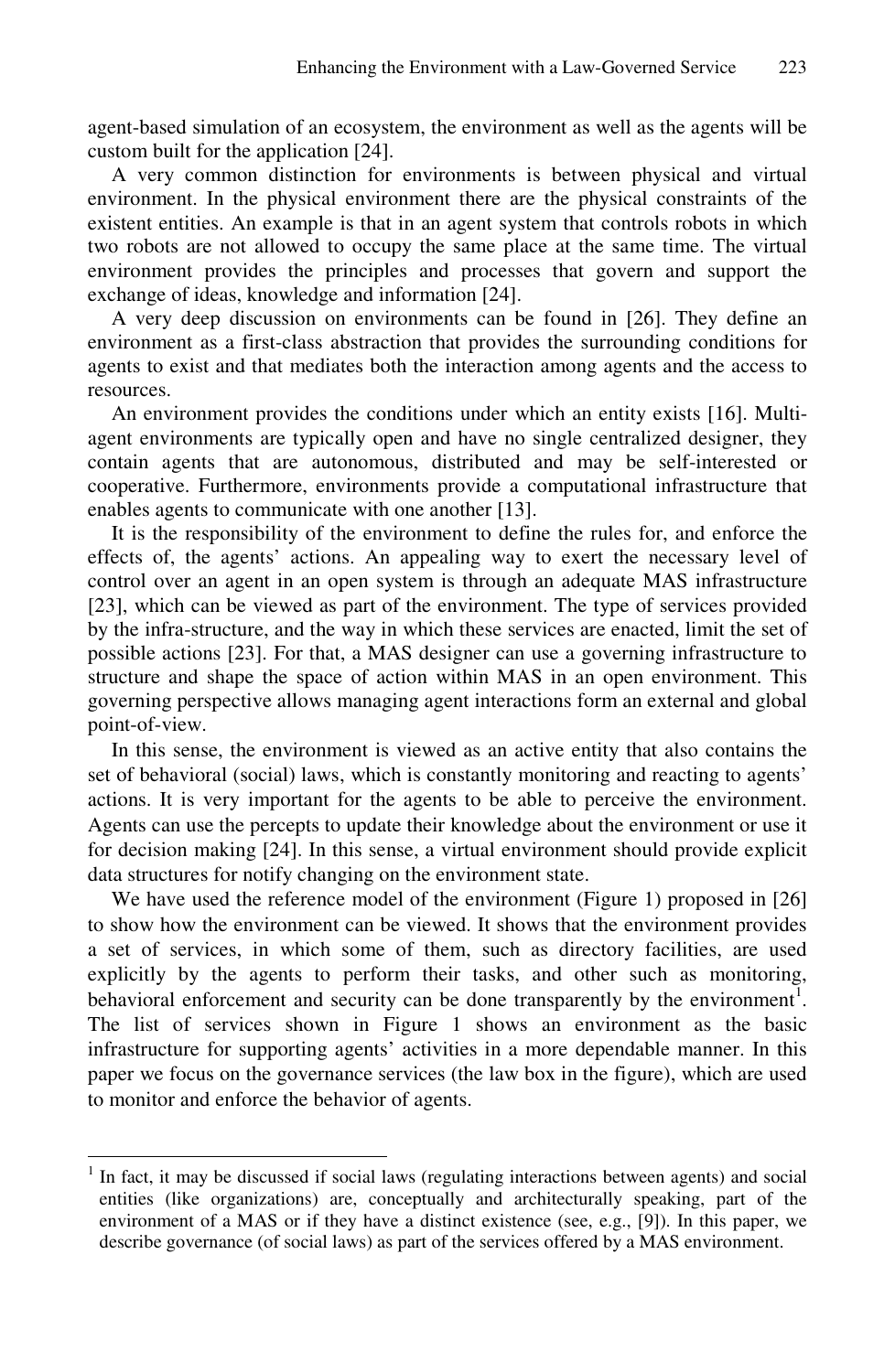agent-based simulation of an ecosystem, the environment as well as the agents will be custom built for the application [24].

A very common distinction for environments is between physical and virtual environment. In the physical environment there are the physical constraints of the existent entities. An example is that in an agent system that controls robots in which two robots are not allowed to occupy the same place at the same time. The virtual environment provides the principles and processes that govern and support the exchange of ideas, knowledge and information [24].

A very deep discussion on environments can be found in [26]. They define an environment as a first-class abstraction that provides the surrounding conditions for agents to exist and that mediates both the interaction among agents and the access to resources.

An environment provides the conditions under which an entity exists [16]. Multiagent environments are typically open and have no single centralized designer, they contain agents that are autonomous, distributed and may be self-interested or cooperative. Furthermore, environments provide a computational infrastructure that enables agents to communicate with one another [13].

It is the responsibility of the environment to define the rules for, and enforce the effects of, the agents' actions. An appealing way to exert the necessary level of control over an agent in an open system is through an adequate MAS infrastructure [23], which can be viewed as part of the environment. The type of services provided by the infra-structure, and the way in which these services are enacted, limit the set of possible actions [23]. For that, a MAS designer can use a governing infrastructure to structure and shape the space of action within MAS in an open environment. This governing perspective allows managing agent interactions form an external and global point-of-view.

In this sense, the environment is viewed as an active entity that also contains the set of behavioral (social) laws, which is constantly monitoring and reacting to agents' actions. It is very important for the agents to be able to perceive the environment. Agents can use the percepts to update their knowledge about the environment or use it for decision making [24]. In this sense, a virtual environment should provide explicit data structures for notify changing on the environment state.

We have used the reference model of the environment (Figure 1) proposed in [26] to show how the environment can be viewed. It shows that the environment provides a set of services, in which some of them, such as directory facilities, are used explicitly by the agents to perform their tasks, and other such as monitoring, behavioral enforcement and security can be done transparently by the environment<sup>1</sup>. The list of services shown in Figure 1 shows an environment as the basic infrastructure for supporting agents' activities in a more dependable manner. In this paper we focus on the governance services (the law box in the figure), which are used to monitor and enforce the behavior of agents.

-

<sup>&</sup>lt;sup>1</sup> In fact, it may be discussed if social laws (regulating interactions between agents) and social entities (like organizations) are, conceptually and architecturally speaking, part of the environment of a MAS or if they have a distinct existence (see, e.g., [9]). In this paper, we describe governance (of social laws) as part of the services offered by a MAS environment.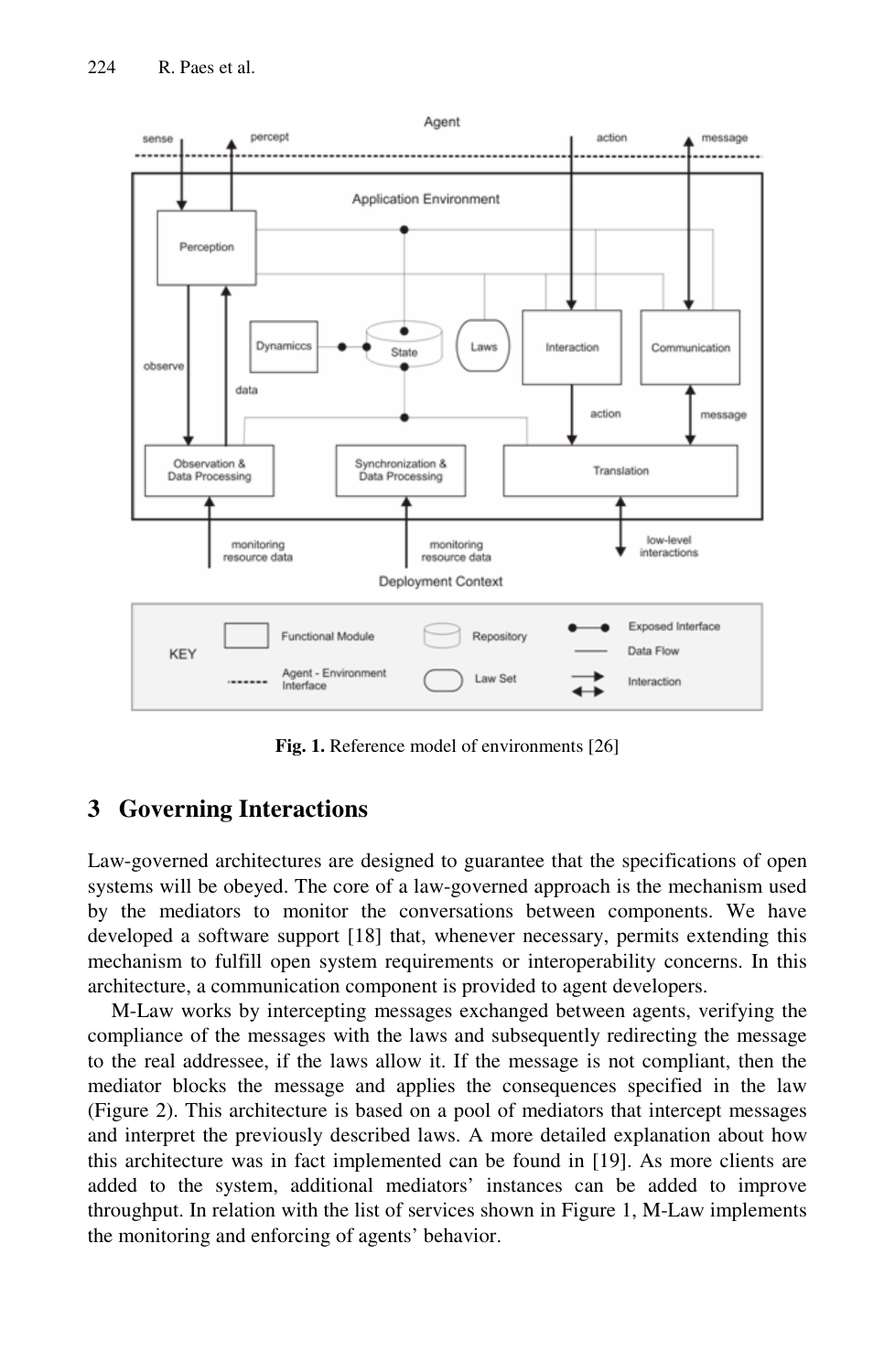

**Fig. 1.** Reference model of environments [26]

## **3 Governing Interactions**

Law-governed architectures are designed to guarantee that the specifications of open systems will be obeyed. The core of a law-governed approach is the mechanism used by the mediators to monitor the conversations between components. We have developed a software support [18] that, whenever necessary, permits extending this mechanism to fulfill open system requirements or interoperability concerns. In this architecture, a communication component is provided to agent developers.

M-Law works by intercepting messages exchanged between agents, verifying the compliance of the messages with the laws and subsequently redirecting the message to the real addressee, if the laws allow it. If the message is not compliant, then the mediator blocks the message and applies the consequences specified in the law (Figure 2). This architecture is based on a pool of mediators that intercept messages and interpret the previously described laws. A more detailed explanation about how this architecture was in fact implemented can be found in [19]. As more clients are added to the system, additional mediators' instances can be added to improve throughput. In relation with the list of services shown in Figure 1, M-Law implements the monitoring and enforcing of agents' behavior.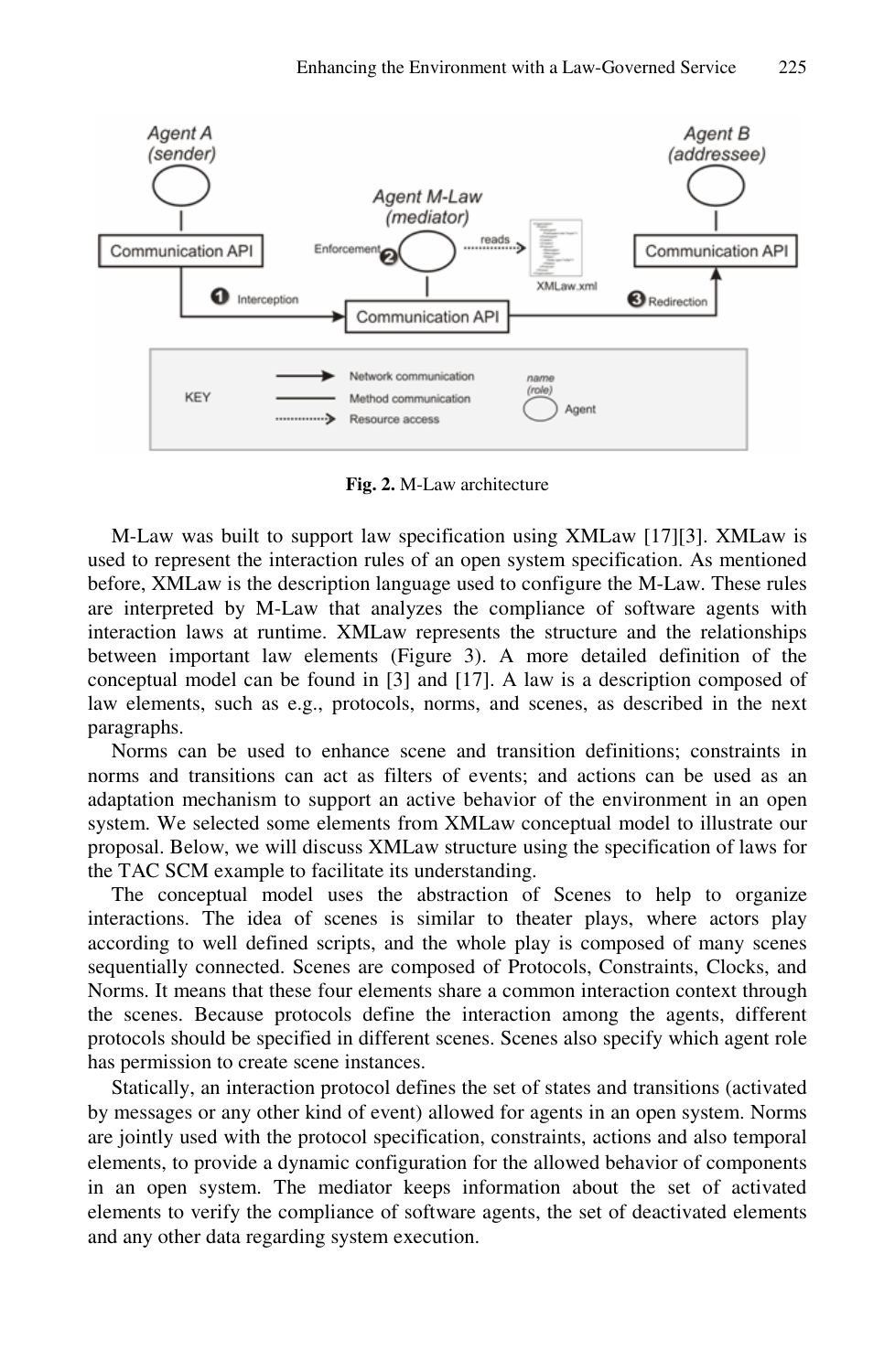

**Fig. 2.** M-Law architecture

M-Law was built to support law specification using XMLaw [17][3]. XMLaw is used to represent the interaction rules of an open system specification. As mentioned before, XMLaw is the description language used to configure the M-Law. These rules are interpreted by M-Law that analyzes the compliance of software agents with interaction laws at runtime. XMLaw represents the structure and the relationships between important law elements (Figure 3). A more detailed definition of the conceptual model can be found in [3] and [17]. A law is a description composed of law elements, such as e.g., protocols, norms, and scenes, as described in the next paragraphs.

Norms can be used to enhance scene and transition definitions; constraints in norms and transitions can act as filters of events; and actions can be used as an adaptation mechanism to support an active behavior of the environment in an open system. We selected some elements from XMLaw conceptual model to illustrate our proposal. Below, we will discuss XMLaw structure using the specification of laws for the TAC SCM example to facilitate its understanding.

The conceptual model uses the abstraction of Scenes to help to organize interactions. The idea of scenes is similar to theater plays, where actors play according to well defined scripts, and the whole play is composed of many scenes sequentially connected. Scenes are composed of Protocols, Constraints, Clocks, and Norms. It means that these four elements share a common interaction context through the scenes. Because protocols define the interaction among the agents, different protocols should be specified in different scenes. Scenes also specify which agent role has permission to create scene instances.

Statically, an interaction protocol defines the set of states and transitions (activated by messages or any other kind of event) allowed for agents in an open system. Norms are jointly used with the protocol specification, constraints, actions and also temporal elements, to provide a dynamic configuration for the allowed behavior of components in an open system. The mediator keeps information about the set of activated elements to verify the compliance of software agents, the set of deactivated elements and any other data regarding system execution.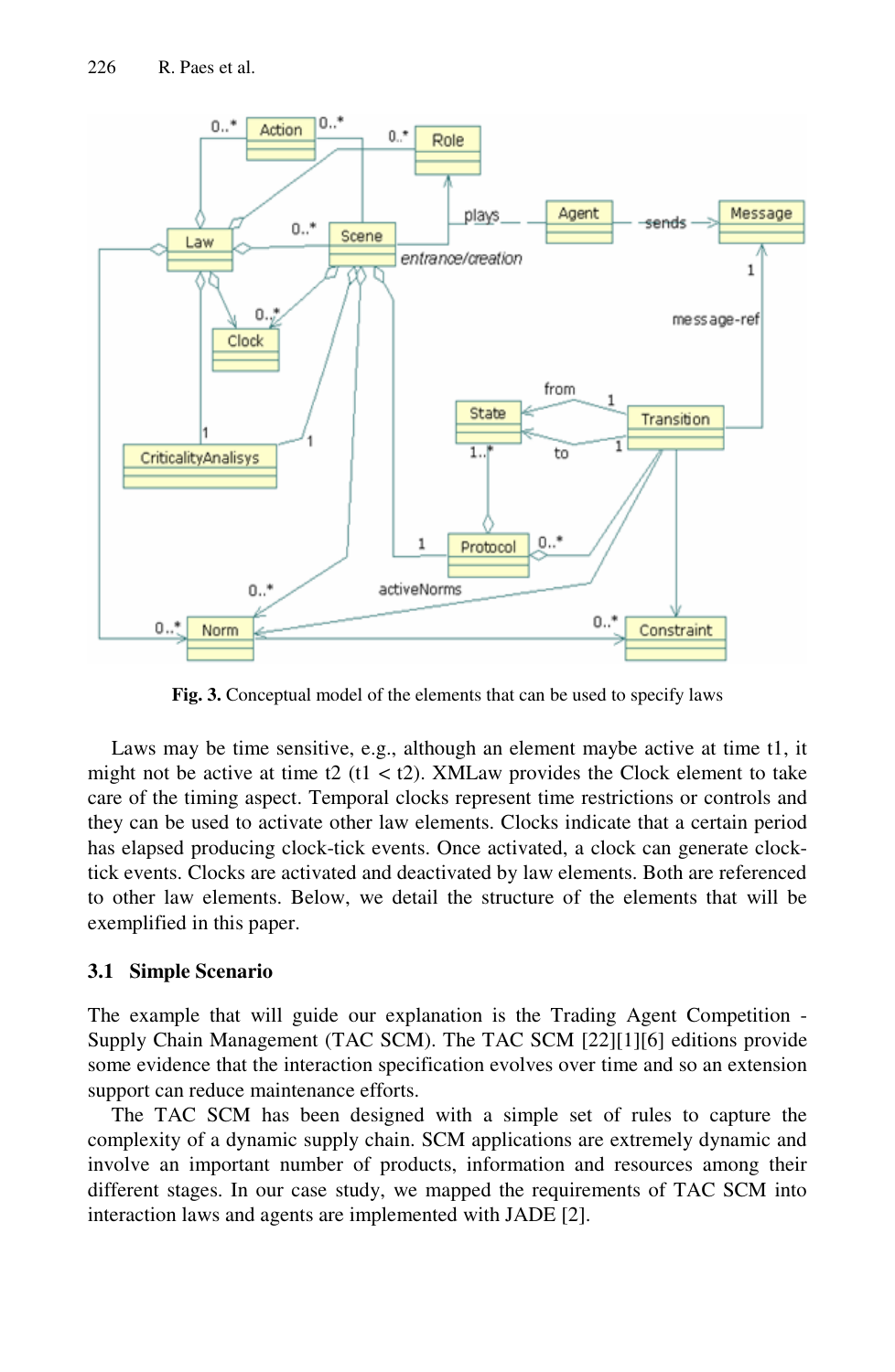

**Fig. 3.** Conceptual model of the elements that can be used to specify laws

Laws may be time sensitive, e.g., although an element maybe active at time t1, it might not be active at time t2 (t1 < t2). XMLaw provides the Clock element to take care of the timing aspect. Temporal clocks represent time restrictions or controls and they can be used to activate other law elements. Clocks indicate that a certain period has elapsed producing clock-tick events. Once activated, a clock can generate clocktick events. Clocks are activated and deactivated by law elements. Both are referenced to other law elements. Below, we detail the structure of the elements that will be exemplified in this paper.

### **3.1 Simple Scenario**

The example that will guide our explanation is the Trading Agent Competition - Supply Chain Management (TAC SCM). The TAC SCM [22][1][6] editions provide some evidence that the interaction specification evolves over time and so an extension support can reduce maintenance efforts.

The TAC SCM has been designed with a simple set of rules to capture the complexity of a dynamic supply chain. SCM applications are extremely dynamic and involve an important number of products, information and resources among their different stages. In our case study, we mapped the requirements of TAC SCM into interaction laws and agents are implemented with JADE [2].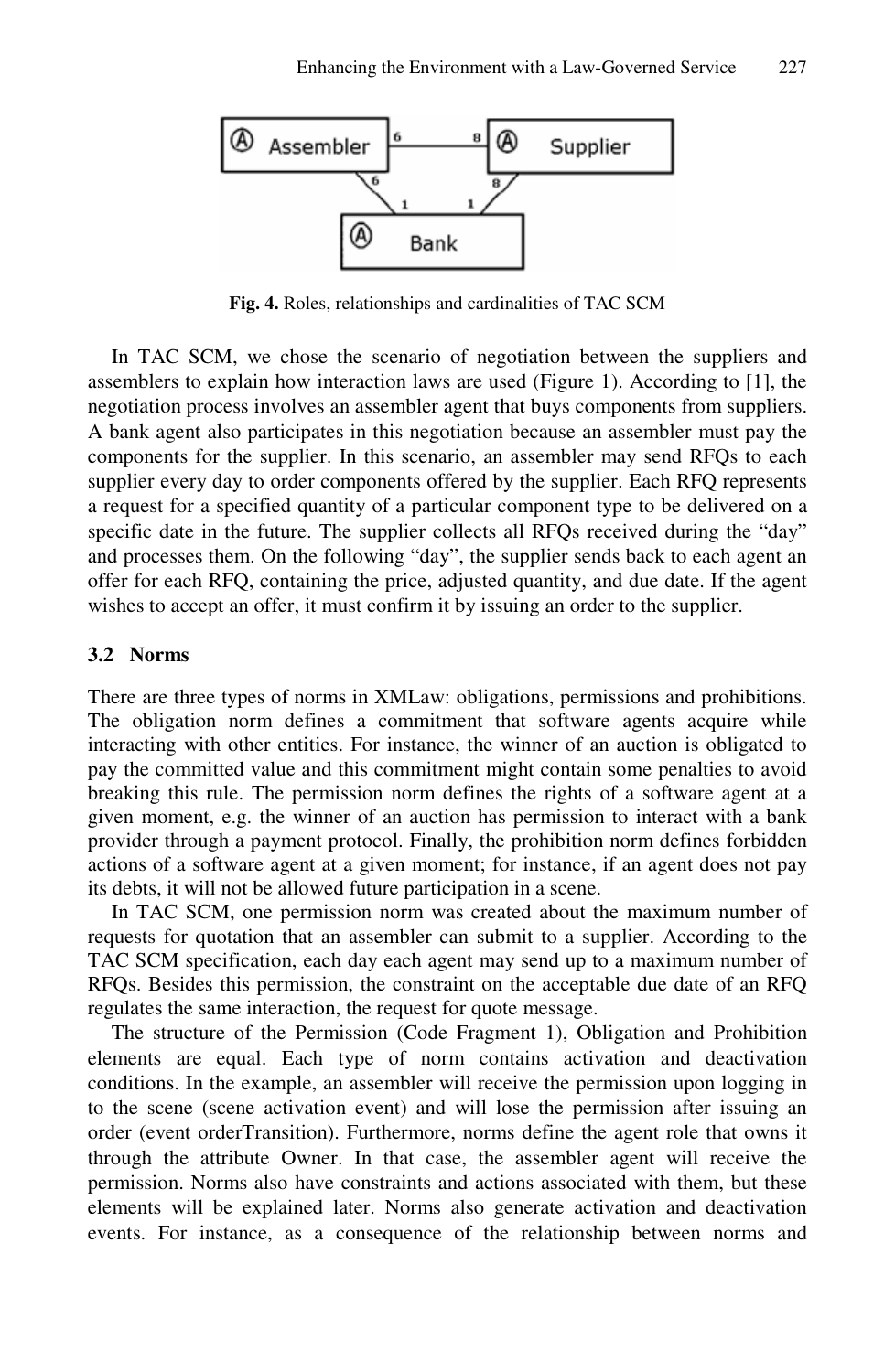

**Fig. 4.** Roles, relationships and cardinalities of TAC SCM

In TAC SCM, we chose the scenario of negotiation between the suppliers and assemblers to explain how interaction laws are used (Figure 1). According to [1], the negotiation process involves an assembler agent that buys components from suppliers. A bank agent also participates in this negotiation because an assembler must pay the components for the supplier. In this scenario, an assembler may send RFQs to each supplier every day to order components offered by the supplier. Each RFQ represents a request for a specified quantity of a particular component type to be delivered on a specific date in the future. The supplier collects all RFQs received during the "day" and processes them. On the following "day", the supplier sends back to each agent an offer for each RFQ, containing the price, adjusted quantity, and due date. If the agent wishes to accept an offer, it must confirm it by issuing an order to the supplier.

#### **3.2 Norms**

There are three types of norms in XMLaw: obligations, permissions and prohibitions. The obligation norm defines a commitment that software agents acquire while interacting with other entities. For instance, the winner of an auction is obligated to pay the committed value and this commitment might contain some penalties to avoid breaking this rule. The permission norm defines the rights of a software agent at a given moment, e.g. the winner of an auction has permission to interact with a bank provider through a payment protocol. Finally, the prohibition norm defines forbidden actions of a software agent at a given moment; for instance, if an agent does not pay its debts, it will not be allowed future participation in a scene.

In TAC SCM, one permission norm was created about the maximum number of requests for quotation that an assembler can submit to a supplier. According to the TAC SCM specification, each day each agent may send up to a maximum number of RFQs. Besides this permission, the constraint on the acceptable due date of an RFQ regulates the same interaction, the request for quote message.

The structure of the Permission (Code Fragment 1), Obligation and Prohibition elements are equal. Each type of norm contains activation and deactivation conditions. In the example, an assembler will receive the permission upon logging in to the scene (scene activation event) and will lose the permission after issuing an order (event orderTransition). Furthermore, norms define the agent role that owns it through the attribute Owner. In that case, the assembler agent will receive the permission. Norms also have constraints and actions associated with them, but these elements will be explained later. Norms also generate activation and deactivation events. For instance, as a consequence of the relationship between norms and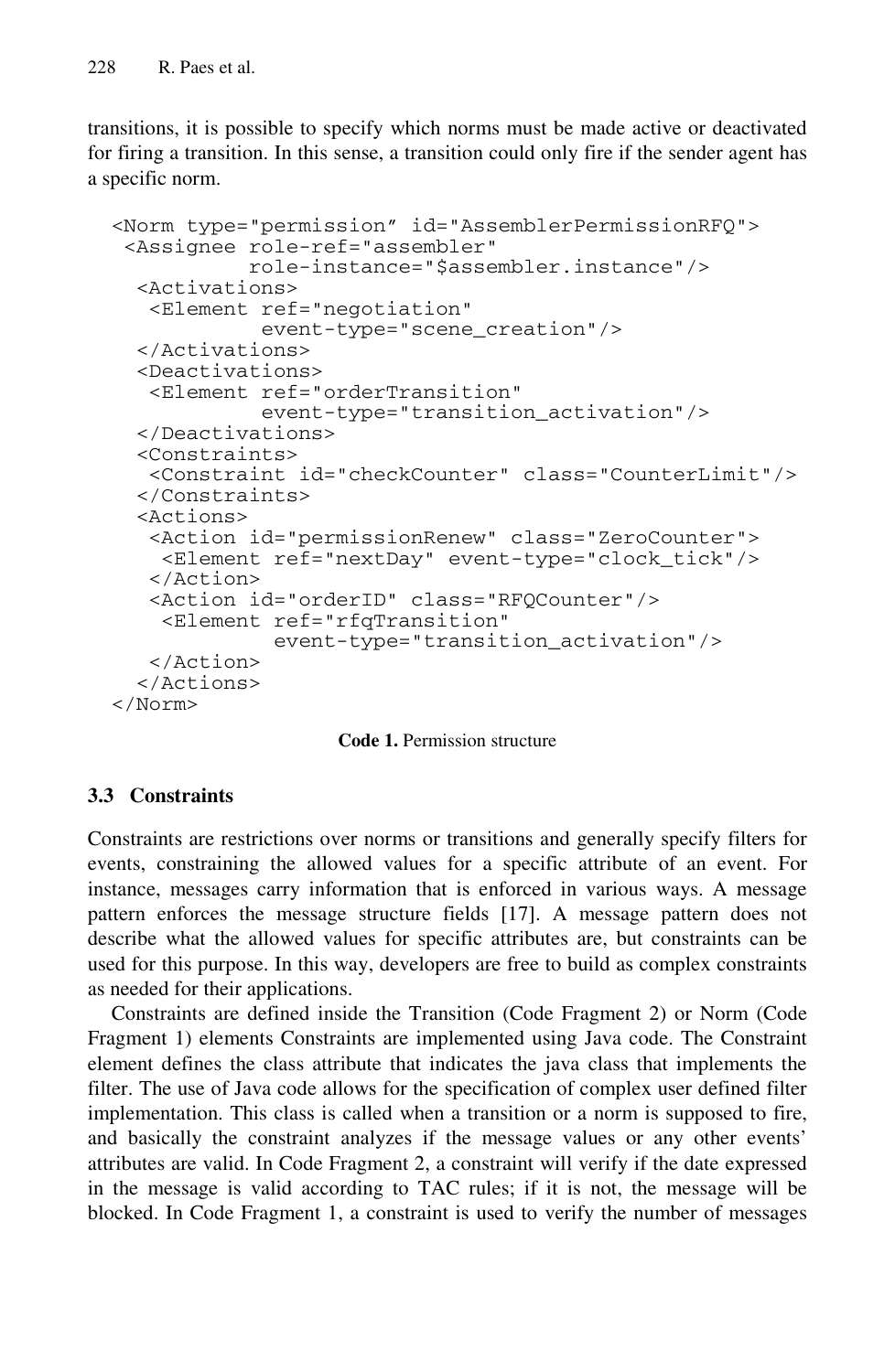transitions, it is possible to specify which norms must be made active or deactivated for firing a transition. In this sense, a transition could only fire if the sender agent has a specific norm.

```
<Norm type="permission" id="AssemblerPermissionRFQ"> 
  <Assignee role-ref="assembler" 
             role-instance="$assembler.instance"/> 
   <Activations> 
    <Element ref="negotiation" 
              event-type="scene_creation"/> 
   </Activations> 
   <Deactivations> 
    <Element ref="orderTransition" 
              event-type="transition_activation"/> 
   </Deactivations> 
   <Constraints> 
    <Constraint id="checkCounter" class="CounterLimit"/> 
   </Constraints> 
   <Actions> 
    <Action id="permissionRenew" class="ZeroCounter"> 
     <Element ref="nextDay" event-type="clock_tick"/> 
    </Action> 
    <Action id="orderID" class="RFQCounter"/> 
     <Element ref="rfqTransition" 
               event-type="transition_activation"/> 
    </Action> 
   </Actions> 
</Norm>
```
**Code 1.** Permission structure

### **3.3 Constraints**

Constraints are restrictions over norms or transitions and generally specify filters for events, constraining the allowed values for a specific attribute of an event. For instance, messages carry information that is enforced in various ways. A message pattern enforces the message structure fields [17]. A message pattern does not describe what the allowed values for specific attributes are, but constraints can be used for this purpose. In this way, developers are free to build as complex constraints as needed for their applications.

Constraints are defined inside the Transition (Code Fragment 2) or Norm (Code Fragment 1) elements Constraints are implemented using Java code. The Constraint element defines the class attribute that indicates the java class that implements the filter. The use of Java code allows for the specification of complex user defined filter implementation. This class is called when a transition or a norm is supposed to fire, and basically the constraint analyzes if the message values or any other events' attributes are valid. In Code Fragment 2, a constraint will verify if the date expressed in the message is valid according to TAC rules; if it is not, the message will be blocked. In Code Fragment 1, a constraint is used to verify the number of messages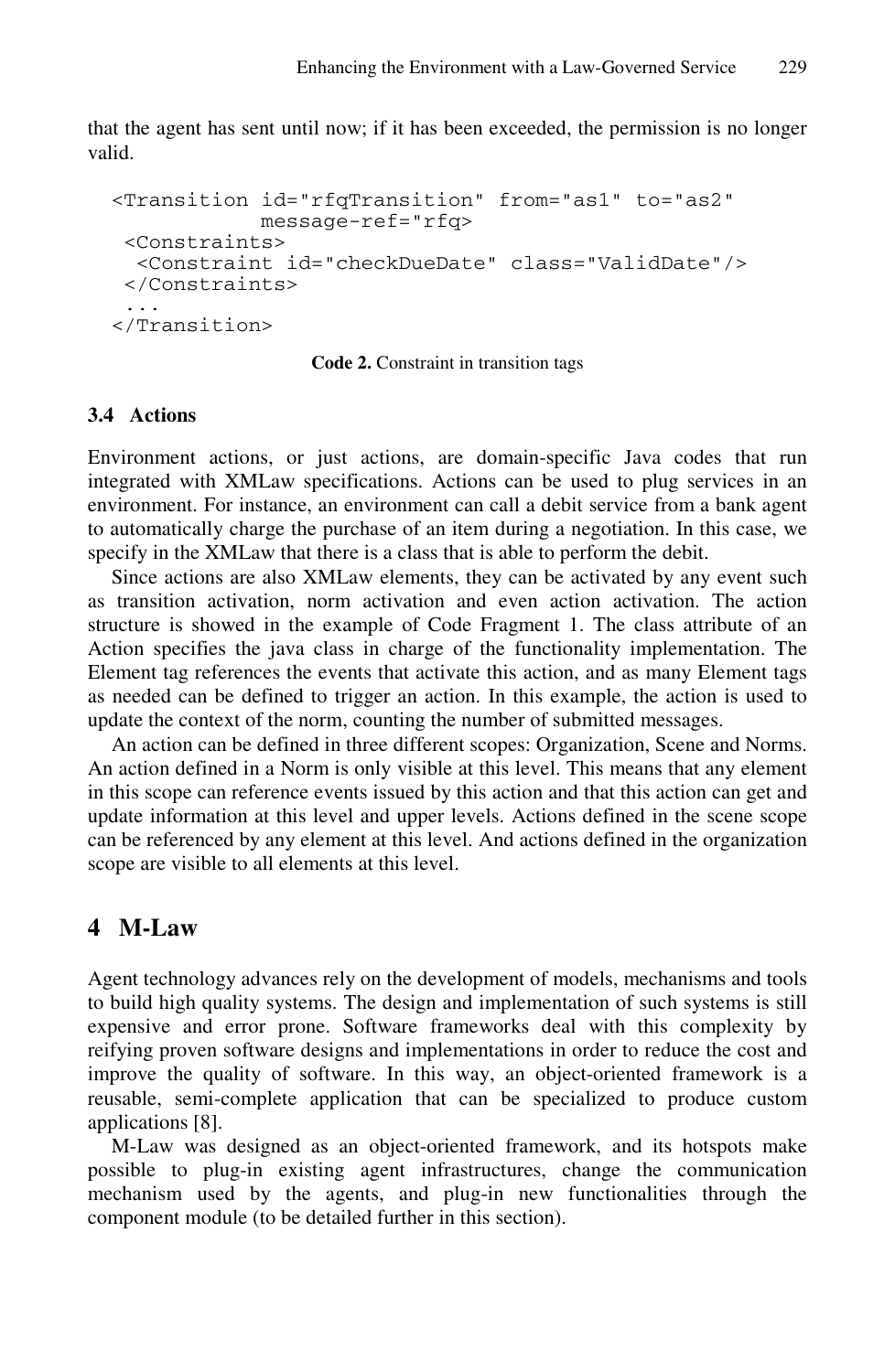that the agent has sent until now; if it has been exceeded, the permission is no longer valid.

```
<Transition id="rfqTransition" from="as1" to="as2" 
              message-ref="rfq> 
  <Constraints> 
   <Constraint id="checkDueDate" class="ValidDate"/> 
  </Constraints> 
 ... 
</Transition>
```
**Code 2.** Constraint in transition tags

#### **3.4 Actions**

Environment actions, or just actions, are domain-specific Java codes that run integrated with XMLaw specifications. Actions can be used to plug services in an environment. For instance, an environment can call a debit service from a bank agent to automatically charge the purchase of an item during a negotiation. In this case, we specify in the XMLaw that there is a class that is able to perform the debit.

Since actions are also XMLaw elements, they can be activated by any event such as transition activation, norm activation and even action activation. The action structure is showed in the example of Code Fragment 1. The class attribute of an Action specifies the java class in charge of the functionality implementation. The Element tag references the events that activate this action, and as many Element tags as needed can be defined to trigger an action. In this example, the action is used to update the context of the norm, counting the number of submitted messages.

An action can be defined in three different scopes: Organization, Scene and Norms. An action defined in a Norm is only visible at this level. This means that any element in this scope can reference events issued by this action and that this action can get and update information at this level and upper levels. Actions defined in the scene scope can be referenced by any element at this level. And actions defined in the organization scope are visible to all elements at this level.

### **4 M-Law**

Agent technology advances rely on the development of models, mechanisms and tools to build high quality systems. The design and implementation of such systems is still expensive and error prone. Software frameworks deal with this complexity by reifying proven software designs and implementations in order to reduce the cost and improve the quality of software. In this way, an object-oriented framework is a reusable, semi-complete application that can be specialized to produce custom applications [8].

M-Law was designed as an object-oriented framework, and its hotspots make possible to plug-in existing agent infrastructures, change the communication mechanism used by the agents, and plug-in new functionalities through the component module (to be detailed further in this section).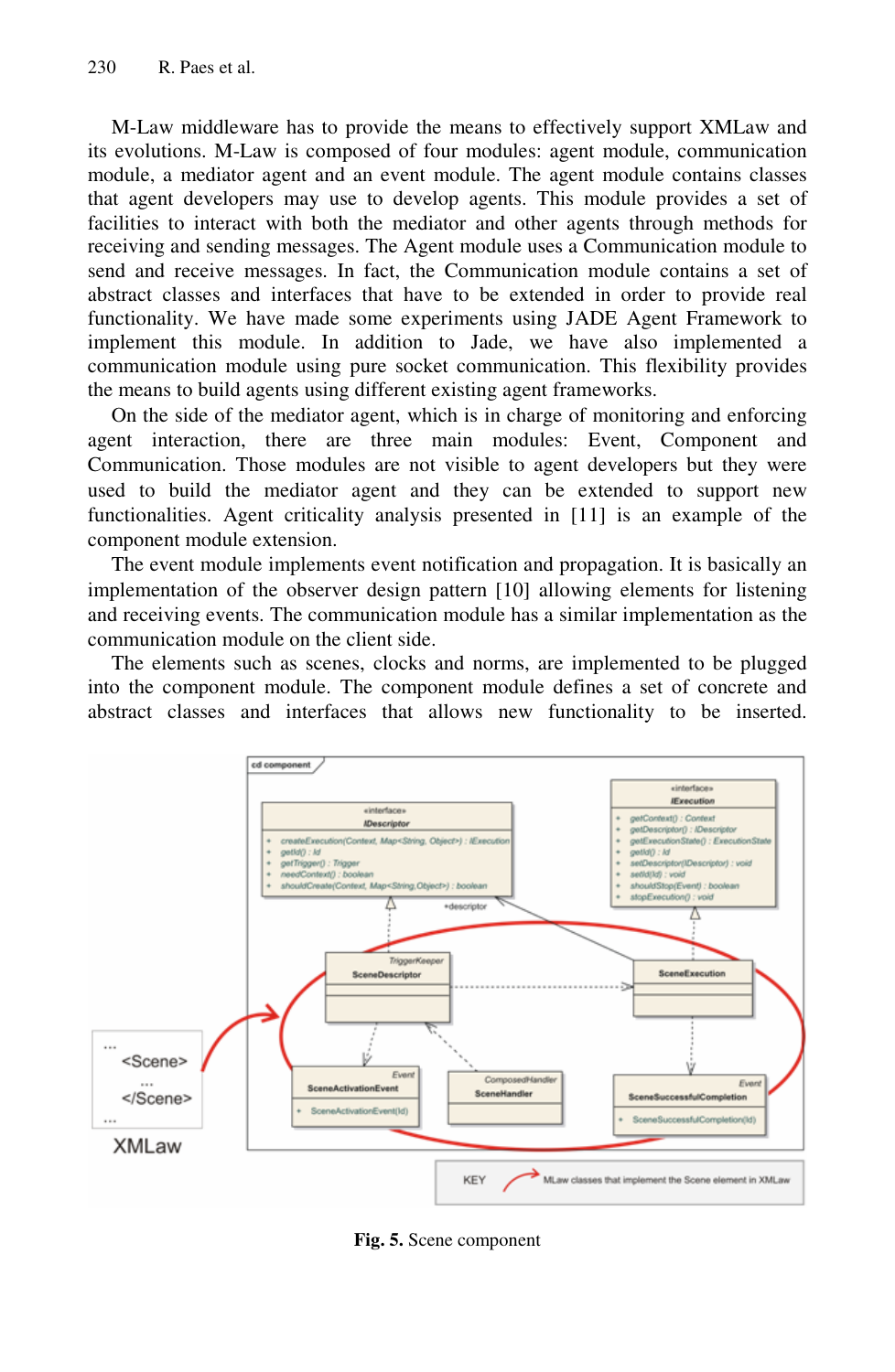M-Law middleware has to provide the means to effectively support XMLaw and its evolutions. M-Law is composed of four modules: agent module, communication module, a mediator agent and an event module. The agent module contains classes that agent developers may use to develop agents. This module provides a set of facilities to interact with both the mediator and other agents through methods for receiving and sending messages. The Agent module uses a Communication module to send and receive messages. In fact, the Communication module contains a set of abstract classes and interfaces that have to be extended in order to provide real functionality. We have made some experiments using JADE Agent Framework to implement this module. In addition to Jade, we have also implemented a communication module using pure socket communication. This flexibility provides the means to build agents using different existing agent frameworks.

On the side of the mediator agent, which is in charge of monitoring and enforcing agent interaction, there are three main modules: Event, Component and Communication. Those modules are not visible to agent developers but they were used to build the mediator agent and they can be extended to support new functionalities. Agent criticality analysis presented in [11] is an example of the component module extension.

The event module implements event notification and propagation. It is basically an implementation of the observer design pattern [10] allowing elements for listening and receiving events. The communication module has a similar implementation as the communication module on the client side.

The elements such as scenes, clocks and norms, are implemented to be plugged into the component module. The component module defines a set of concrete and abstract classes and interfaces that allows new functionality to be inserted.



**Fig. 5.** Scene component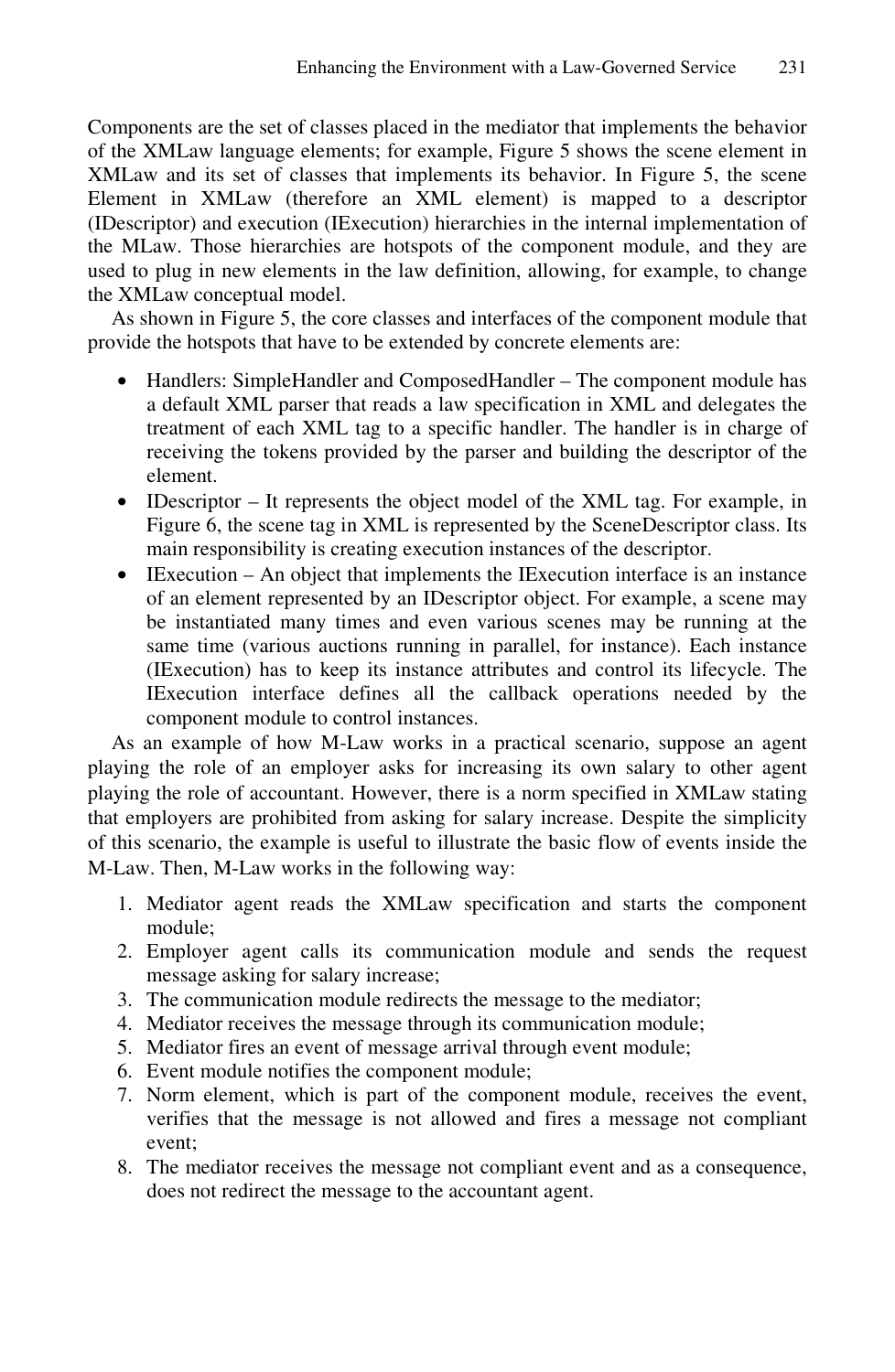Components are the set of classes placed in the mediator that implements the behavior of the XMLaw language elements; for example, Figure 5 shows the scene element in XMLaw and its set of classes that implements its behavior. In Figure 5, the scene Element in XMLaw (therefore an XML element) is mapped to a descriptor (IDescriptor) and execution (IExecution) hierarchies in the internal implementation of the MLaw. Those hierarchies are hotspots of the component module, and they are used to plug in new elements in the law definition, allowing, for example, to change the XMLaw conceptual model.

As shown in Figure 5, the core classes and interfaces of the component module that provide the hotspots that have to be extended by concrete elements are:

- Handlers: SimpleHandler and ComposedHandler The component module has a default XML parser that reads a law specification in XML and delegates the treatment of each XML tag to a specific handler. The handler is in charge of receiving the tokens provided by the parser and building the descriptor of the element.
- IDescriptor It represents the object model of the XML tag. For example, in Figure 6, the scene tag in XML is represented by the SceneDescriptor class. Its main responsibility is creating execution instances of the descriptor.
- IExecution An object that implements the IExecution interface is an instance of an element represented by an IDescriptor object. For example, a scene may be instantiated many times and even various scenes may be running at the same time (various auctions running in parallel, for instance). Each instance (IExecution) has to keep its instance attributes and control its lifecycle. The IExecution interface defines all the callback operations needed by the component module to control instances.

As an example of how M-Law works in a practical scenario, suppose an agent playing the role of an employer asks for increasing its own salary to other agent playing the role of accountant. However, there is a norm specified in XMLaw stating that employers are prohibited from asking for salary increase. Despite the simplicity of this scenario, the example is useful to illustrate the basic flow of events inside the M-Law. Then, M-Law works in the following way:

- 1. Mediator agent reads the XMLaw specification and starts the component module;
- 2. Employer agent calls its communication module and sends the request message asking for salary increase;
- 3. The communication module redirects the message to the mediator;
- 4. Mediator receives the message through its communication module;
- 5. Mediator fires an event of message arrival through event module;
- 6. Event module notifies the component module;
- 7. Norm element, which is part of the component module, receives the event, verifies that the message is not allowed and fires a message not compliant event;
- 8. The mediator receives the message not compliant event and as a consequence, does not redirect the message to the accountant agent.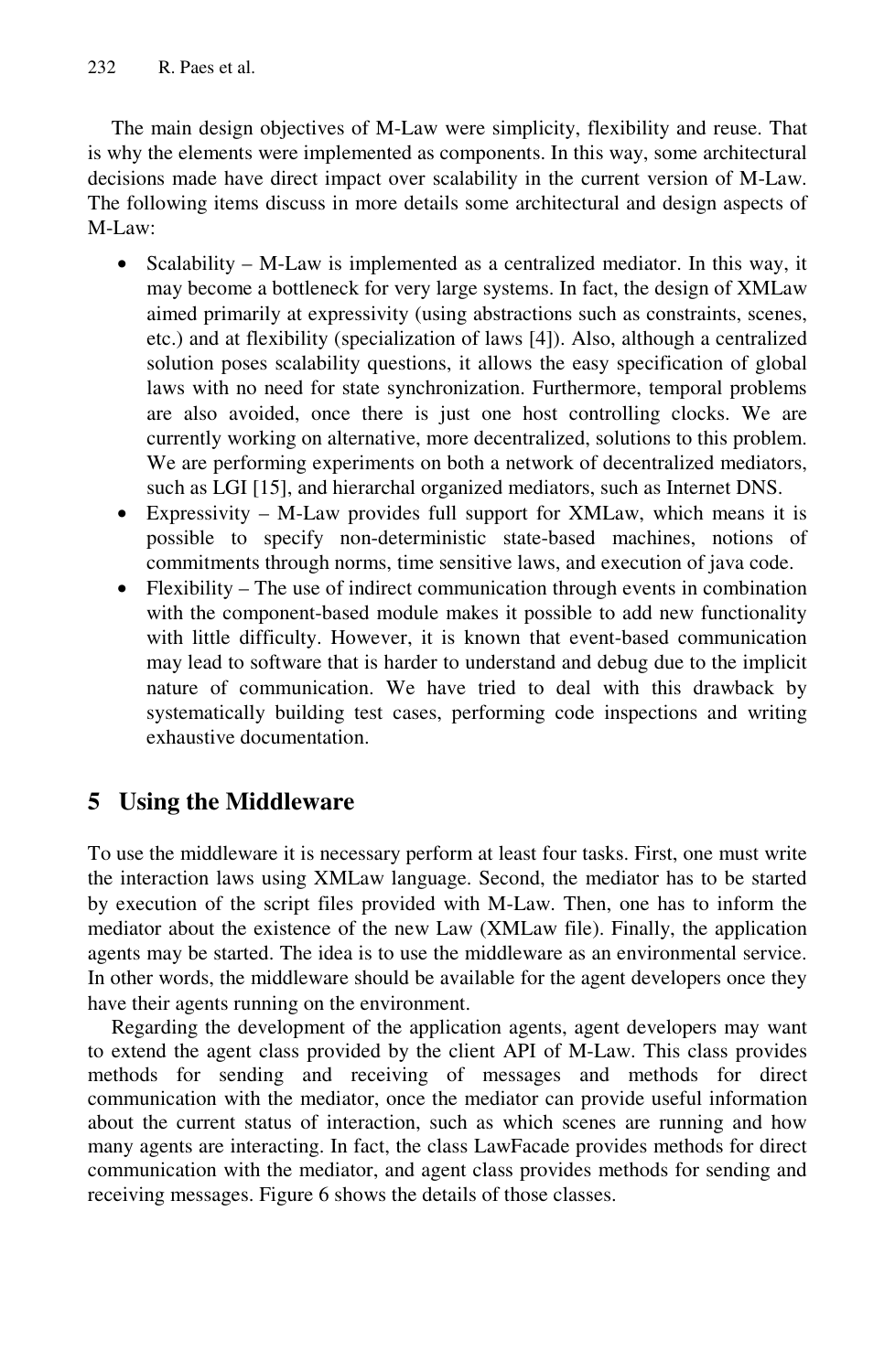The main design objectives of M-Law were simplicity, flexibility and reuse. That is why the elements were implemented as components. In this way, some architectural decisions made have direct impact over scalability in the current version of M-Law. The following items discuss in more details some architectural and design aspects of M-Law:

- Scalability M-Law is implemented as a centralized mediator. In this way, it may become a bottleneck for very large systems. In fact, the design of XMLaw aimed primarily at expressivity (using abstractions such as constraints, scenes, etc.) and at flexibility (specialization of laws [4]). Also, although a centralized solution poses scalability questions, it allows the easy specification of global laws with no need for state synchronization. Furthermore, temporal problems are also avoided, once there is just one host controlling clocks. We are currently working on alternative, more decentralized, solutions to this problem. We are performing experiments on both a network of decentralized mediators, such as LGI [15], and hierarchal organized mediators, such as Internet DNS.
- Expressivity  $-$  M-Law provides full support for XMLaw, which means it is possible to specify non-deterministic state-based machines, notions of commitments through norms, time sensitive laws, and execution of java code.
- Flexibility The use of indirect communication through events in combination with the component-based module makes it possible to add new functionality with little difficulty. However, it is known that event-based communication may lead to software that is harder to understand and debug due to the implicit nature of communication. We have tried to deal with this drawback by systematically building test cases, performing code inspections and writing exhaustive documentation.

## **5 Using the Middleware**

To use the middleware it is necessary perform at least four tasks. First, one must write the interaction laws using XMLaw language. Second, the mediator has to be started by execution of the script files provided with M-Law. Then, one has to inform the mediator about the existence of the new Law (XMLaw file). Finally, the application agents may be started. The idea is to use the middleware as an environmental service. In other words, the middleware should be available for the agent developers once they have their agents running on the environment.

Regarding the development of the application agents, agent developers may want to extend the agent class provided by the client API of M-Law. This class provides methods for sending and receiving of messages and methods for direct communication with the mediator, once the mediator can provide useful information about the current status of interaction, such as which scenes are running and how many agents are interacting. In fact, the class LawFacade provides methods for direct communication with the mediator, and agent class provides methods for sending and receiving messages. Figure 6 shows the details of those classes.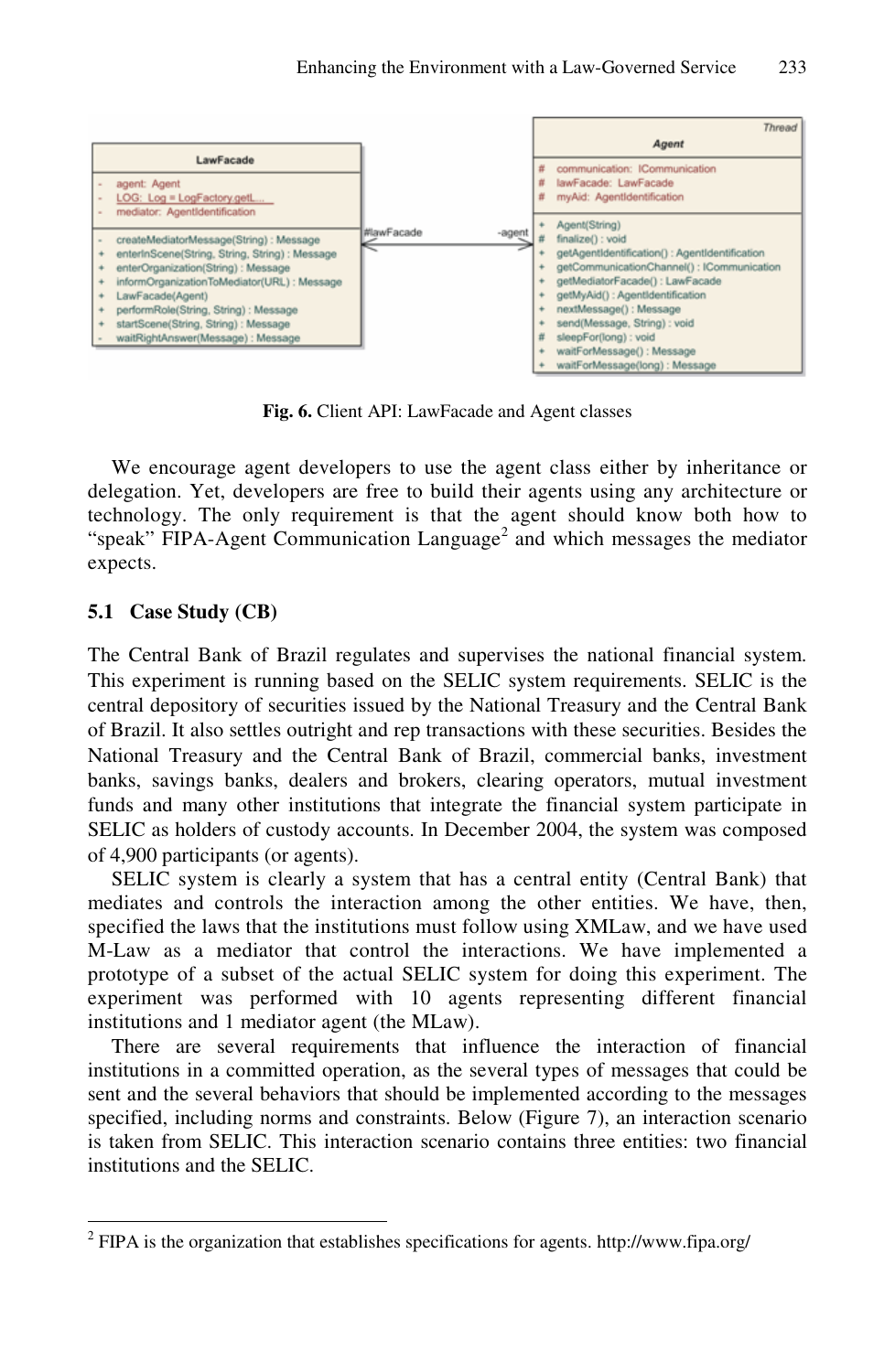

**Fig. 6.** Client API: LawFacade and Agent classes

We encourage agent developers to use the agent class either by inheritance or delegation. Yet, developers are free to build their agents using any architecture or technology. The only requirement is that the agent should know both how to "speak" FIPA-Agent Communication Language<sup>2</sup> and which messages the mediator expects.

#### **5.1 Case Study (CB)**

l

The Central Bank of Brazil regulates and supervises the national financial system. This experiment is running based on the SELIC system requirements. SELIC is the central depository of securities issued by the National Treasury and the Central Bank of Brazil. It also settles outright and rep transactions with these securities. Besides the National Treasury and the Central Bank of Brazil, commercial banks, investment banks, savings banks, dealers and brokers, clearing operators, mutual investment funds and many other institutions that integrate the financial system participate in SELIC as holders of custody accounts. In December 2004, the system was composed of 4,900 participants (or agents).

SELIC system is clearly a system that has a central entity (Central Bank) that mediates and controls the interaction among the other entities. We have, then, specified the laws that the institutions must follow using XMLaw, and we have used M-Law as a mediator that control the interactions. We have implemented a prototype of a subset of the actual SELIC system for doing this experiment. The experiment was performed with 10 agents representing different financial institutions and 1 mediator agent (the MLaw).

There are several requirements that influence the interaction of financial institutions in a committed operation, as the several types of messages that could be sent and the several behaviors that should be implemented according to the messages specified, including norms and constraints. Below (Figure 7), an interaction scenario is taken from SELIC. This interaction scenario contains three entities: two financial institutions and the SELIC.

 $2$  FIPA is the organization that establishes specifications for agents. http://www.fipa.org/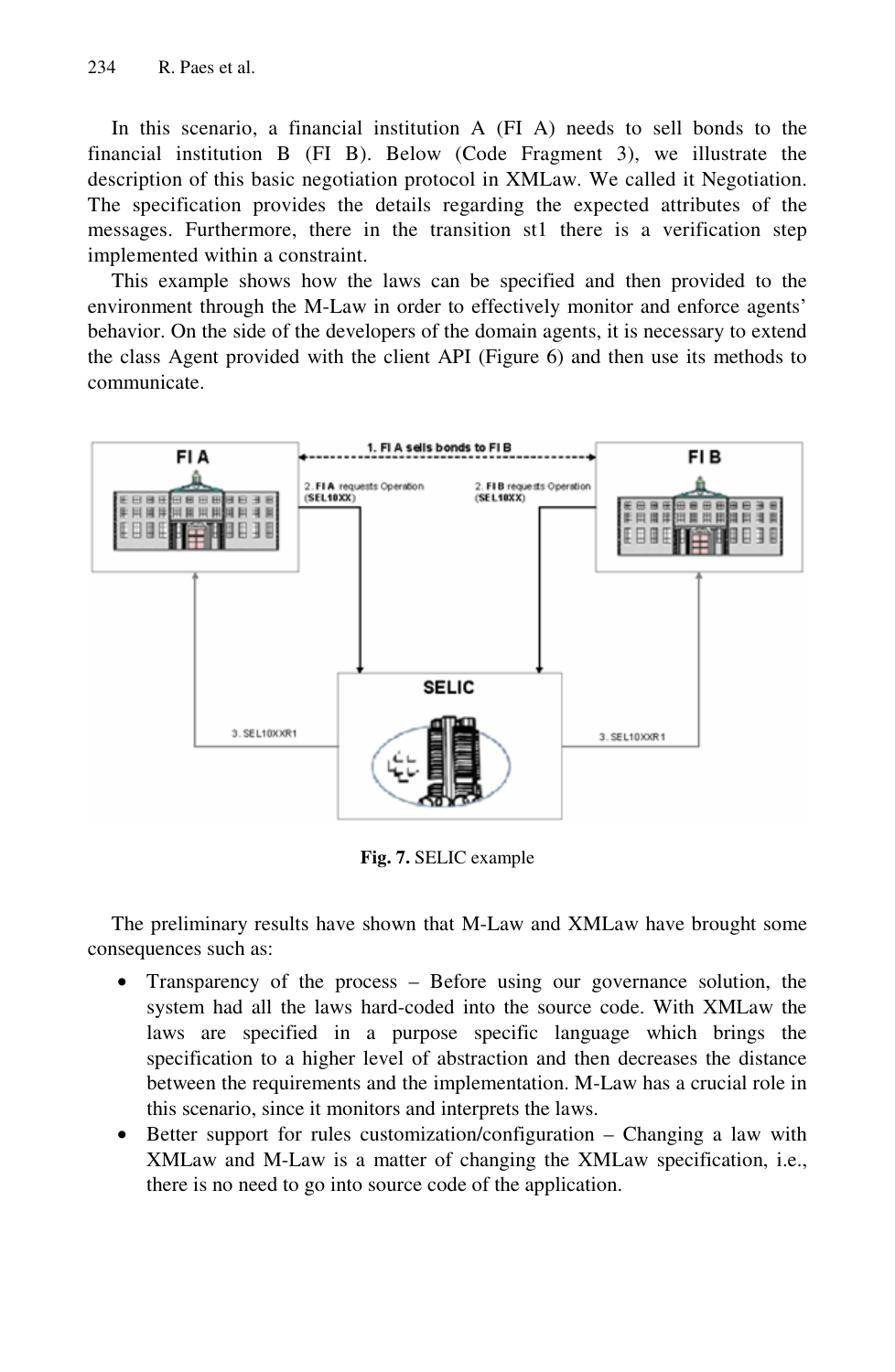In this scenario, a financial institution A (FI A) needs to sell bonds to the financial institution B (FI B). Below (Code Fragment 3), we illustrate the description of this basic negotiation protocol in XMLaw. We called it Negotiation. The specification provides the details regarding the expected attributes of the messages. Furthermore, there in the transition st1 there is a verification step implemented within a constraint.

This example shows how the laws can be specified and then provided to the environment through the M-Law in order to effectively monitor and enforce agents' behavior. On the side of the developers of the domain agents, it is necessary to extend the class Agent provided with the client API (Figure 6) and then use its methods to communicate.



**Fig. 7.** SELIC example

The preliminary results have shown that M-Law and XMLaw have brought some consequences such as:

- Transparency of the process Before using our governance solution, the system had all the laws hard-coded into the source code. With XMLaw the laws are specified in a purpose specific language which brings the specification to a higher level of abstraction and then decreases the distance between the requirements and the implementation. M-Law has a crucial role in this scenario, since it monitors and interprets the laws.
- Better support for rules customization/configuration Changing a law with XMLaw and M-Law is a matter of changing the XMLaw specification, i.e., there is no need to go into source code of the application.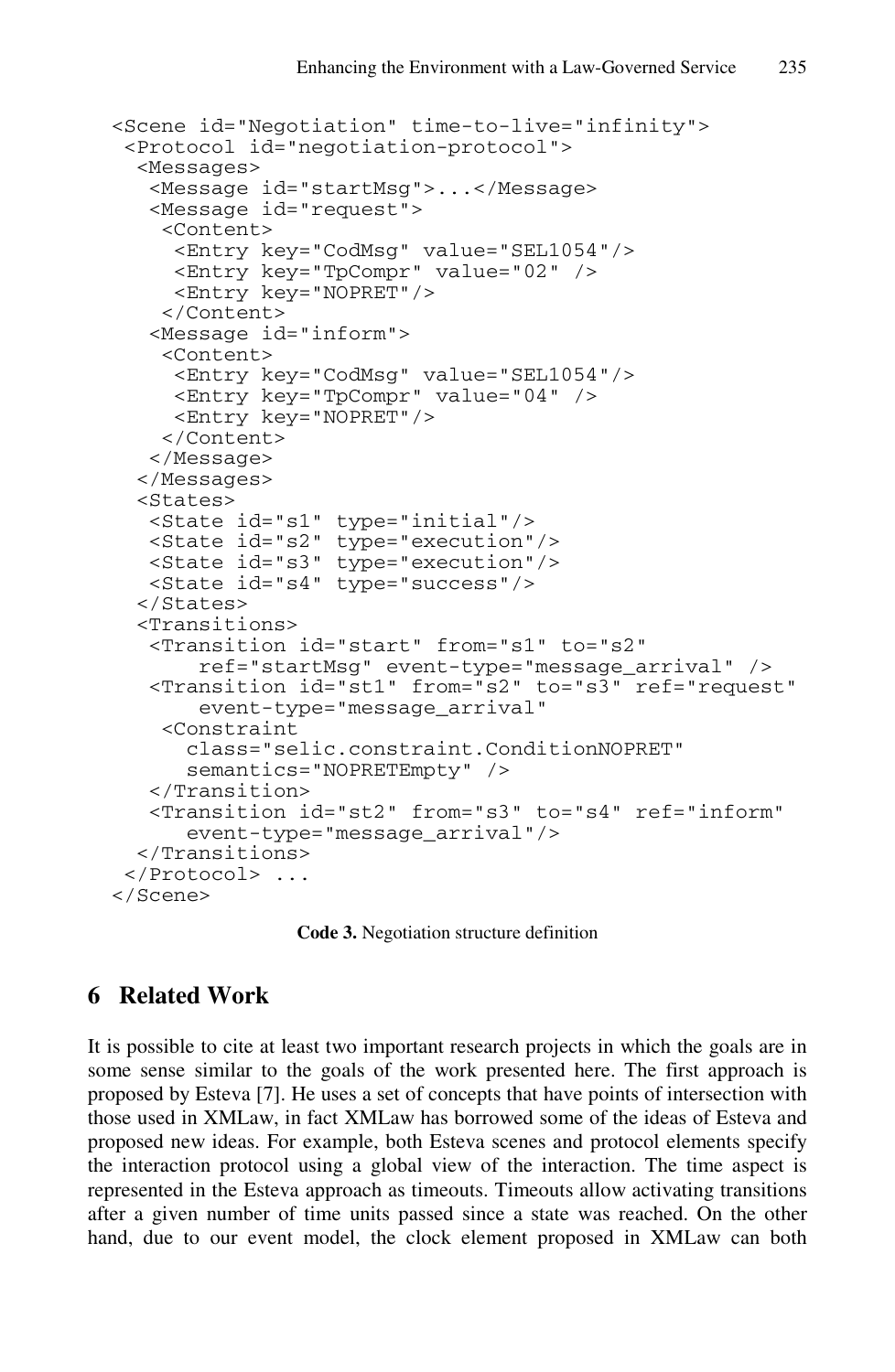```
<Scene id="Negotiation" time-to-live="infinity"> 
  <Protocol id="negotiation-protocol"> 
   <Messages> 
    <Message id="startMsg">...</Message> 
    <Message id="request"> 
     <Content> 
      <Entry key="CodMsg" value="SEL1054"/> 
      <Entry key="TpCompr" value="02" /> 
      <Entry key="NOPRET"/> 
     </Content> 
    <Message id="inform"> 
     <Content> 
      <Entry key="CodMsg" value="SEL1054"/> 
      <Entry key="TpCompr" value="04" /> 
      <Entry key="NOPRET"/> 
     </Content> 
    </Message> 
   </Messages> 
   <States> 
    <State id="s1" type="initial"/> 
    <State id="s2" type="execution"/> 
    <State id="s3" type="execution"/> 
    <State id="s4" type="success"/> 
   </States> 
   <Transitions> 
    <Transition id="start" from="s1" to="s2" 
        ref="startMsg" event-type="message_arrival" /> 
    <Transition id="st1" from="s2" to="s3" ref="request" 
        event-type="message_arrival" 
     <Constraint 
       class="selic.constraint.ConditionNOPRET" 
       semantics="NOPRETEmpty" /> 
    </Transition> 
    <Transition id="st2" from="s3" to="s4" ref="inform" 
       event-type="message_arrival"/> 
   </Transitions> 
  </Protocol> ... 
</Scene>
```
**Code 3.** Negotiation structure definition

## **6 Related Work**

It is possible to cite at least two important research projects in which the goals are in some sense similar to the goals of the work presented here. The first approach is proposed by Esteva [7]. He uses a set of concepts that have points of intersection with those used in XMLaw, in fact XMLaw has borrowed some of the ideas of Esteva and proposed new ideas. For example, both Esteva scenes and protocol elements specify the interaction protocol using a global view of the interaction. The time aspect is represented in the Esteva approach as timeouts. Timeouts allow activating transitions after a given number of time units passed since a state was reached. On the other hand, due to our event model, the clock element proposed in XMLaw can both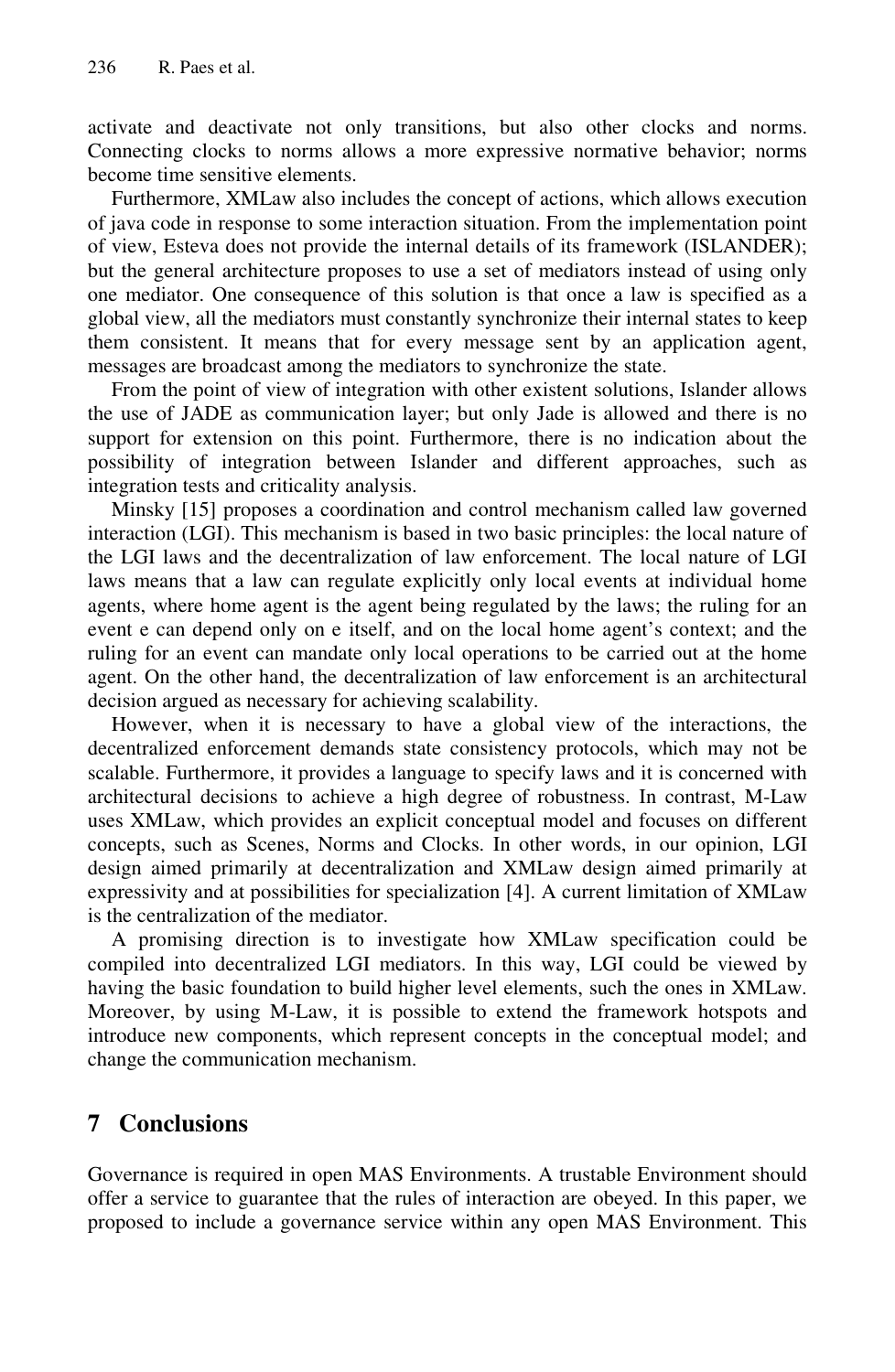activate and deactivate not only transitions, but also other clocks and norms. Connecting clocks to norms allows a more expressive normative behavior; norms become time sensitive elements.

Furthermore, XMLaw also includes the concept of actions, which allows execution of java code in response to some interaction situation. From the implementation point of view, Esteva does not provide the internal details of its framework (ISLANDER); but the general architecture proposes to use a set of mediators instead of using only one mediator. One consequence of this solution is that once a law is specified as a global view, all the mediators must constantly synchronize their internal states to keep them consistent. It means that for every message sent by an application agent, messages are broadcast among the mediators to synchronize the state.

From the point of view of integration with other existent solutions, Islander allows the use of JADE as communication layer; but only Jade is allowed and there is no support for extension on this point. Furthermore, there is no indication about the possibility of integration between Islander and different approaches, such as integration tests and criticality analysis.

Minsky [15] proposes a coordination and control mechanism called law governed interaction (LGI). This mechanism is based in two basic principles: the local nature of the LGI laws and the decentralization of law enforcement. The local nature of LGI laws means that a law can regulate explicitly only local events at individual home agents, where home agent is the agent being regulated by the laws; the ruling for an event e can depend only on e itself, and on the local home agent's context; and the ruling for an event can mandate only local operations to be carried out at the home agent. On the other hand, the decentralization of law enforcement is an architectural decision argued as necessary for achieving scalability.

However, when it is necessary to have a global view of the interactions, the decentralized enforcement demands state consistency protocols, which may not be scalable. Furthermore, it provides a language to specify laws and it is concerned with architectural decisions to achieve a high degree of robustness. In contrast, M-Law uses XMLaw, which provides an explicit conceptual model and focuses on different concepts, such as Scenes, Norms and Clocks. In other words, in our opinion, LGI design aimed primarily at decentralization and XMLaw design aimed primarily at expressivity and at possibilities for specialization [4]. A current limitation of XMLaw is the centralization of the mediator.

A promising direction is to investigate how XMLaw specification could be compiled into decentralized LGI mediators. In this way, LGI could be viewed by having the basic foundation to build higher level elements, such the ones in XMLaw. Moreover, by using M-Law, it is possible to extend the framework hotspots and introduce new components, which represent concepts in the conceptual model; and change the communication mechanism.

## **7 Conclusions**

Governance is required in open MAS Environments. A trustable Environment should offer a service to guarantee that the rules of interaction are obeyed. In this paper, we proposed to include a governance service within any open MAS Environment. This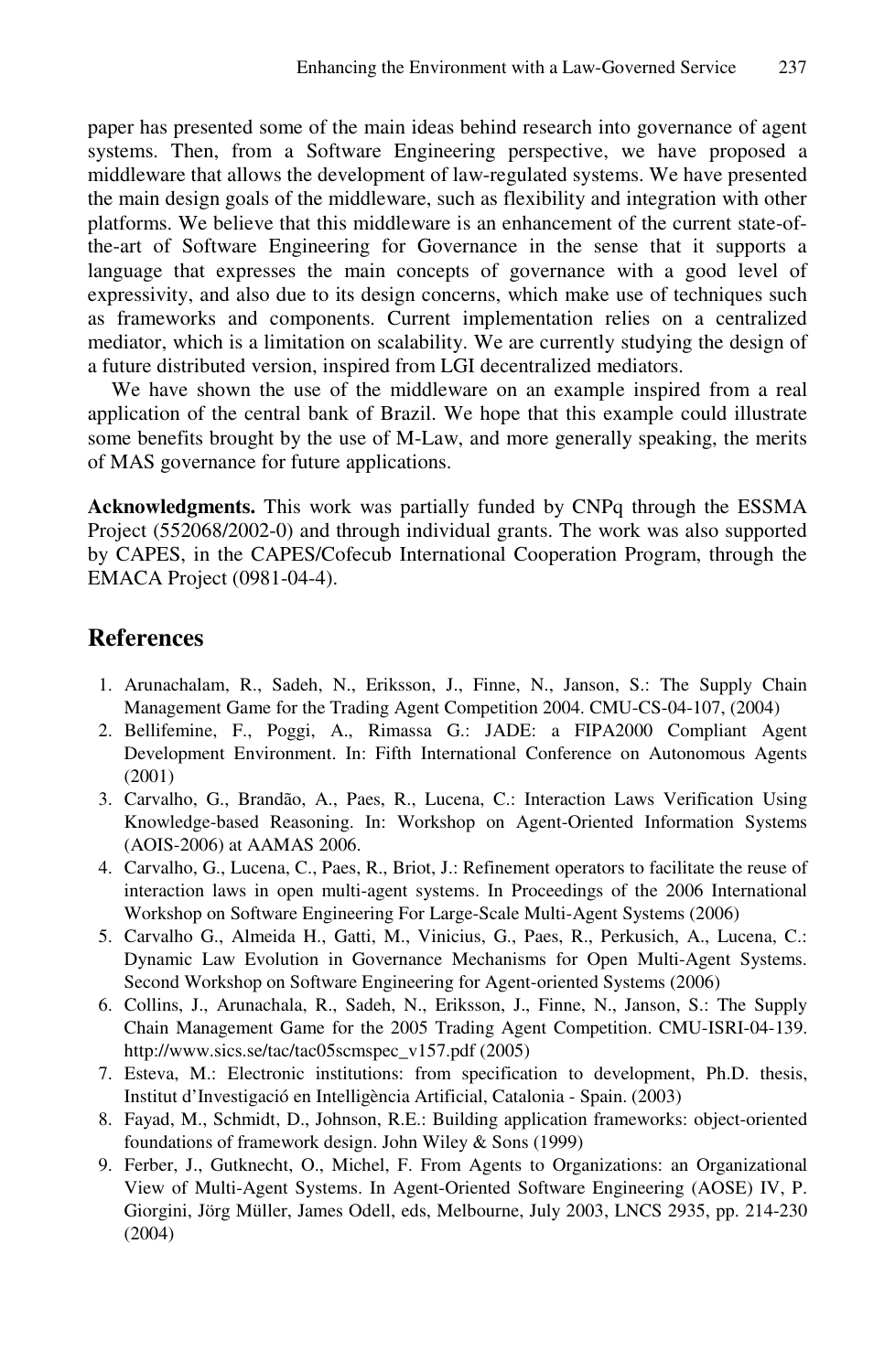paper has presented some of the main ideas behind research into governance of agent systems. Then, from a Software Engineering perspective, we have proposed a middleware that allows the development of law-regulated systems. We have presented the main design goals of the middleware, such as flexibility and integration with other platforms. We believe that this middleware is an enhancement of the current state-ofthe-art of Software Engineering for Governance in the sense that it supports a language that expresses the main concepts of governance with a good level of expressivity, and also due to its design concerns, which make use of techniques such as frameworks and components. Current implementation relies on a centralized mediator, which is a limitation on scalability. We are currently studying the design of a future distributed version, inspired from LGI decentralized mediators.

We have shown the use of the middleware on an example inspired from a real application of the central bank of Brazil. We hope that this example could illustrate some benefits brought by the use of M-Law, and more generally speaking, the merits of MAS governance for future applications.

**Acknowledgments.** This work was partially funded by CNPq through the ESSMA Project (552068/2002-0) and through individual grants. The work was also supported by CAPES, in the CAPES/Cofecub International Cooperation Program, through the EMACA Project (0981-04-4).

### **References**

- 1. Arunachalam, R., Sadeh, N., Eriksson, J., Finne, N., Janson, S.: The Supply Chain Management Game for the Trading Agent Competition 2004. CMU-CS-04-107, (2004)
- 2. Bellifemine, F., Poggi, A., Rimassa G.: JADE: a FIPA2000 Compliant Agent Development Environment. In: Fifth International Conference on Autonomous Agents (2001)
- 3. Carvalho, G., Brandão, A., Paes, R., Lucena, C.: Interaction Laws Verification Using Knowledge-based Reasoning. In: Workshop on Agent-Oriented Information Systems (AOIS-2006) at AAMAS 2006.
- 4. Carvalho, G., Lucena, C., Paes, R., Briot, J.: Refinement operators to facilitate the reuse of interaction laws in open multi-agent systems. In Proceedings of the 2006 International Workshop on Software Engineering For Large-Scale Multi-Agent Systems (2006)
- 5. Carvalho G., Almeida H., Gatti, M., Vinicius, G., Paes, R., Perkusich, A., Lucena, C.: Dynamic Law Evolution in Governance Mechanisms for Open Multi-Agent Systems. Second Workshop on Software Engineering for Agent-oriented Systems (2006)
- 6. Collins, J., Arunachala, R., Sadeh, N., Eriksson, J., Finne, N., Janson, S.: The Supply Chain Management Game for the 2005 Trading Agent Competition. CMU-ISRI-04-139. http://www.sics.se/tac/tac05scmspec\_v157.pdf (2005)
- 7. Esteva, M.: Electronic institutions: from specification to development, Ph.D. thesis, Institut d'Investigació en Intelligència Artificial, Catalonia - Spain. (2003)
- 8. Fayad, M., Schmidt, D., Johnson, R.E.: Building application frameworks: object-oriented foundations of framework design. John Wiley & Sons (1999)
- 9. Ferber, J., Gutknecht, O., Michel, F. From Agents to Organizations: an Organizational View of Multi-Agent Systems. In Agent-Oriented Software Engineering (AOSE) IV, P. Giorgini, Jörg Müller, James Odell, eds, Melbourne, July 2003, LNCS 2935, pp. 214-230 (2004)